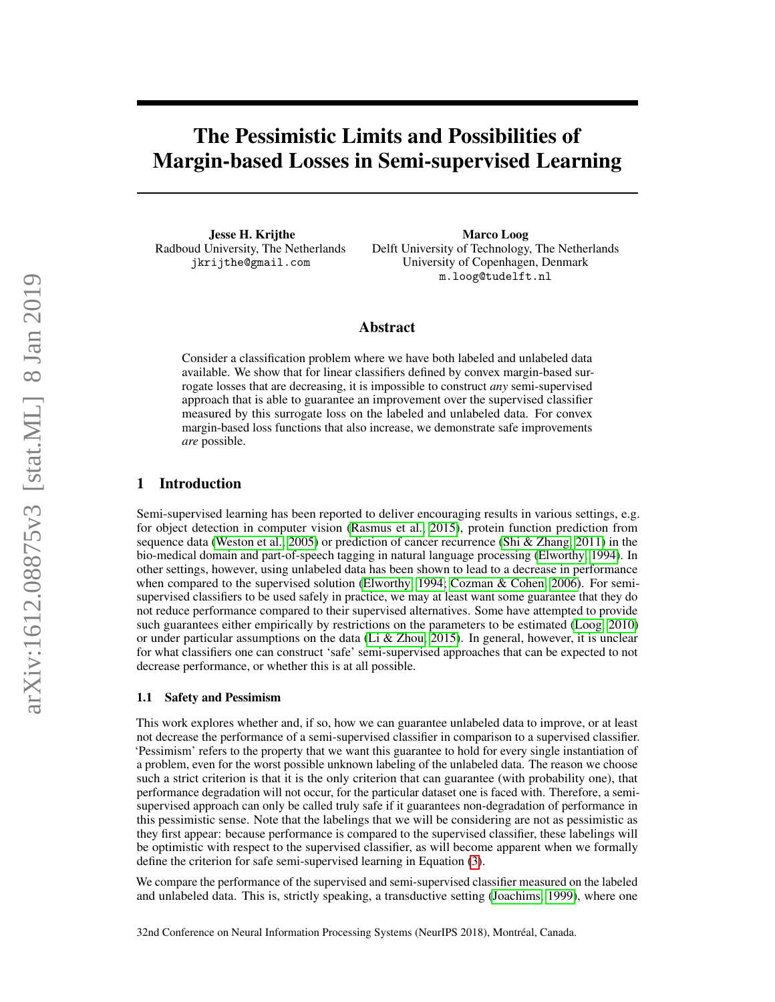# The Pessimistic Limits and Possibilities of Margin-based Losses in Semi-supervised Learning

Jesse H. Krijthe Radboud University, The Netherlands jkrijthe@gmail.com

Marco Loog Delft University of Technology, The Netherlands University of Copenhagen, Denmark m.loog@tudelft.nl

## Abstract

Consider a classification problem where we have both labeled and unlabeled data available. We show that for linear classifiers defined by convex margin-based surrogate losses that are decreasing, it is impossible to construct *any* semi-supervised approach that is able to guarantee an improvement over the supervised classifier measured by this surrogate loss on the labeled and unlabeled data. For convex margin-based loss functions that also increase, we demonstrate safe improvements *are* possible.

# 1 Introduction

Semi-supervised learning has been reported to deliver encouraging results in various settings, e.g. for object detection in computer vision [\(Rasmus et al., 2015\)](#page-8-0), protein function prediction from sequence data [\(Weston et al., 2005\)](#page-9-0) or prediction of cancer recurrence [\(Shi & Zhang, 2011\)](#page-9-1) in the bio-medical domain and part-of-speech tagging in natural language processing [\(Elworthy, 1994\)](#page-8-1). In other settings, however, using unlabeled data has been shown to lead to a decrease in performance when compared to the supervised solution [\(Elworthy, 1994;](#page-8-1) [Cozman & Cohen, 2006\)](#page-8-2). For semisupervised classifiers to be used safely in practice, we may at least want some guarantee that they do not reduce performance compared to their supervised alternatives. Some have attempted to provide such guarantees either empirically by restrictions on the parameters to be estimated [\(Loog, 2010\)](#page-8-3) or under particular assumptions on the data [\(Li & Zhou, 2015\)](#page-8-4). In general, however, it is unclear for what classifiers one can construct 'safe' semi-supervised approaches that can be expected to not decrease performance, or whether this is at all possible.

#### 1.1 Safety and Pessimism

This work explores whether and, if so, how we can guarantee unlabeled data to improve, or at least not decrease the performance of a semi-supervised classifier in comparison to a supervised classifier. 'Pessimism' refers to the property that we want this guarantee to hold for every single instantiation of a problem, even for the worst possible unknown labeling of the unlabeled data. The reason we choose such a strict criterion is that it is the only criterion that can guarantee (with probability one), that performance degradation will not occur, for the particular dataset one is faced with. Therefore, a semisupervised approach can only be called truly safe if it guarantees non-degradation of performance in this pessimistic sense. Note that the labelings that we will be considering are not as pessimistic as they first appear: because performance is compared to the supervised classifier, these labelings will be optimistic with respect to the supervised classifier, as will become apparent when we formally define the criterion for safe semi-supervised learning in Equation [\(3\)](#page-2-0).

We compare the performance of the supervised and semi-supervised classifier measured on the labeled and unlabeled data. This is, strictly speaking, a transductive setting [\(Joachims, 1999\)](#page-8-5), where one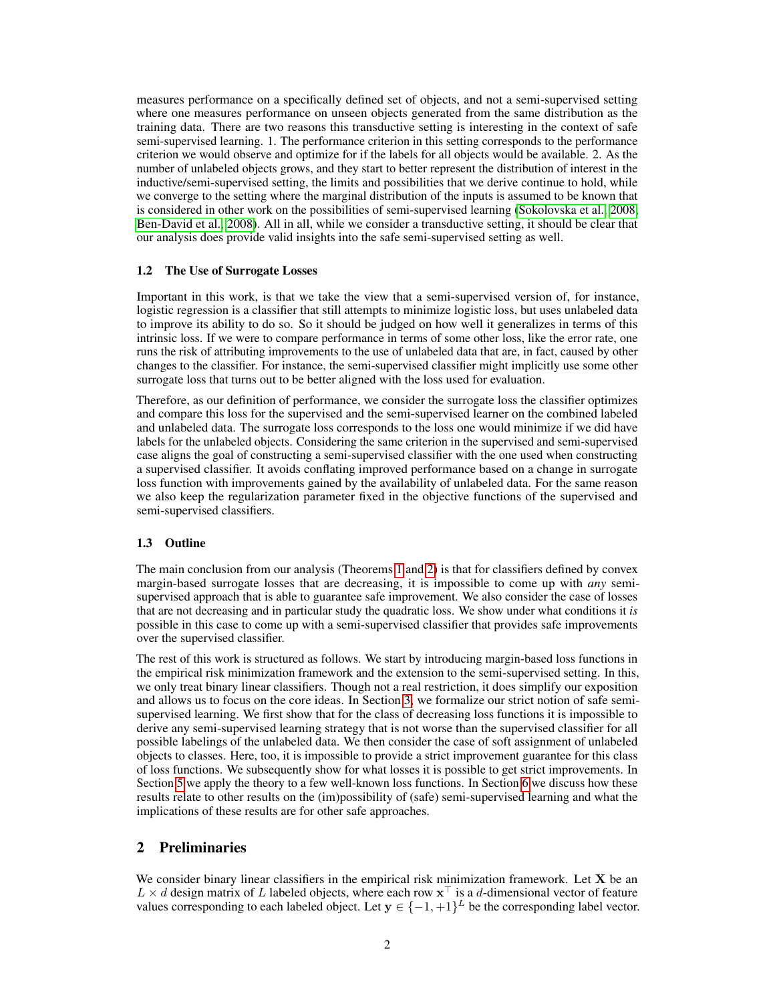measures performance on a specifically defined set of objects, and not a semi-supervised setting where one measures performance on unseen objects generated from the same distribution as the training data. There are two reasons this transductive setting is interesting in the context of safe semi-supervised learning. 1. The performance criterion in this setting corresponds to the performance criterion we would observe and optimize for if the labels for all objects would be available. 2. As the number of unlabeled objects grows, and they start to better represent the distribution of interest in the inductive/semi-supervised setting, the limits and possibilities that we derive continue to hold, while we converge to the setting where the marginal distribution of the inputs is assumed to be known that is considered in other work on the possibilities of semi-supervised learning [\(Sokolovska et al., 2008;](#page-9-2) [Ben-David et al., 2008\)](#page-8-6). All in all, while we consider a transductive setting, it should be clear that our analysis does provide valid insights into the safe semi-supervised setting as well.

#### 1.2 The Use of Surrogate Losses

Important in this work, is that we take the view that a semi-supervised version of, for instance, logistic regression is a classifier that still attempts to minimize logistic loss, but uses unlabeled data to improve its ability to do so. So it should be judged on how well it generalizes in terms of this intrinsic loss. If we were to compare performance in terms of some other loss, like the error rate, one runs the risk of attributing improvements to the use of unlabeled data that are, in fact, caused by other changes to the classifier. For instance, the semi-supervised classifier might implicitly use some other surrogate loss that turns out to be better aligned with the loss used for evaluation.

Therefore, as our definition of performance, we consider the surrogate loss the classifier optimizes and compare this loss for the supervised and the semi-supervised learner on the combined labeled and unlabeled data. The surrogate loss corresponds to the loss one would minimize if we did have labels for the unlabeled objects. Considering the same criterion in the supervised and semi-supervised case aligns the goal of constructing a semi-supervised classifier with the one used when constructing a supervised classifier. It avoids conflating improved performance based on a change in surrogate loss function with improvements gained by the availability of unlabeled data. For the same reason we also keep the regularization parameter fixed in the objective functions of the supervised and semi-supervised classifiers.

## 1.3 Outline

The main conclusion from our analysis (Theorems [1](#page-2-1) and [2\)](#page-4-0) is that for classifiers defined by convex margin-based surrogate losses that are decreasing, it is impossible to come up with *any* semisupervised approach that is able to guarantee safe improvement. We also consider the case of losses that are not decreasing and in particular study the quadratic loss. We show under what conditions it *is* possible in this case to come up with a semi-supervised classifier that provides safe improvements over the supervised classifier.

The rest of this work is structured as follows. We start by introducing margin-based loss functions in the empirical risk minimization framework and the extension to the semi-supervised setting. In this, we only treat binary linear classifiers. Though not a real restriction, it does simplify our exposition and allows us to focus on the core ideas. In Section [3,](#page-2-2) we formalize our strict notion of safe semisupervised learning. We first show that for the class of decreasing loss functions it is impossible to derive any semi-supervised learning strategy that is not worse than the supervised classifier for all possible labelings of the unlabeled data. We then consider the case of soft assignment of unlabeled objects to classes. Here, too, it is impossible to provide a strict improvement guarantee for this class of loss functions. We subsequently show for what losses it is possible to get strict improvements. In Section [5](#page-6-0) we apply the theory to a few well-known loss functions. In Section [6](#page-6-1) we discuss how these results relate to other results on the (im)possibility of (safe) semi-supervised learning and what the implications of these results are for other safe approaches.

# 2 Preliminaries

We consider binary linear classifiers in the empirical risk minimization framework. Let  $X$  be an  $L \times d$  design matrix of L labeled objects, where each row  $x^{\top}$  is a d-dimensional vector of feature values corresponding to each labeled object. Let  $y \in \{-1, +1\}^L$  be the corresponding label vector.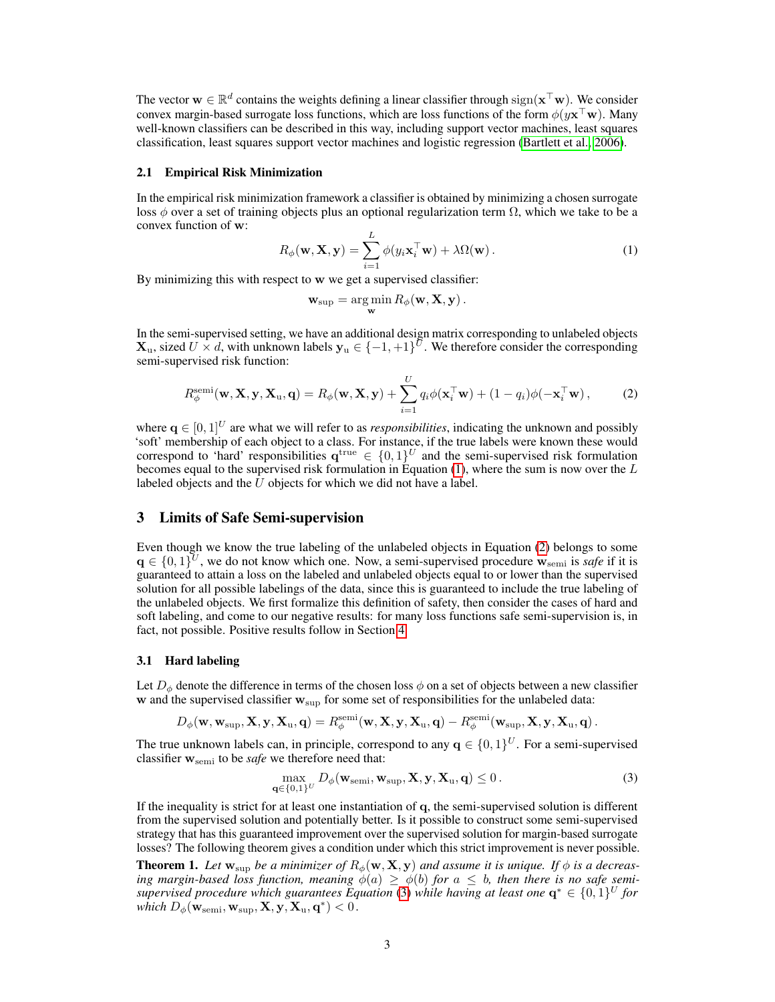The vector  $\mathbf{w} \in \mathbb{R}^d$  contains the weights defining a linear classifier through  $sign(\mathbf{x}^\top \mathbf{w})$ . We consider convex margin-based surrogate loss functions, which are loss functions of the form  $\phi(y\mathbf{x}^\top\mathbf{w})$ . Many well-known classifiers can be described in this way, including support vector machines, least squares classification, least squares support vector machines and logistic regression [\(Bartlett et al., 2006\)](#page-8-7).

#### 2.1 Empirical Risk Minimization

In the empirical risk minimization framework a classifier is obtained by minimizing a chosen surrogate loss  $\phi$  over a set of training objects plus an optional regularization term  $\Omega$ , which we take to be a convex function of w:

<span id="page-2-3"></span>
$$
R_{\phi}(\mathbf{w}, \mathbf{X}, \mathbf{y}) = \sum_{i=1}^{L} \phi(y_i \mathbf{x}_i^{\top} \mathbf{w}) + \lambda \Omega(\mathbf{w}).
$$
 (1)

By minimizing this with respect to w we get a supervised classifier:

<span id="page-2-4"></span>
$$
\mathbf{w}_{\text{sup}} = \argmin_{\mathbf{w}} R_{\phi}(\mathbf{w}, \mathbf{X}, \mathbf{y}).
$$

In the semi-supervised setting, we have an additional design matrix corresponding to unlabeled objects  $\mathbf{X}_u$ , sized  $U \times d$ , with unknown labels  $\mathbf{y}_u \in \{-1, +1\}^{\bar{U}}$ . We therefore consider the corresponding semi-supervised risk function:

$$
R_{\phi}^{\text{semi}}(\mathbf{w}, \mathbf{X}, \mathbf{y}, \mathbf{X}_{\mathbf{u}}, \mathbf{q}) = R_{\phi}(\mathbf{w}, \mathbf{X}, \mathbf{y}) + \sum_{i=1}^{U} q_i \phi(\mathbf{x}_i^{\top} \mathbf{w}) + (1 - q_i) \phi(-\mathbf{x}_i^{\top} \mathbf{w}), \tag{2}
$$

where  $\mathbf{q} \in [0, 1]^U$  are what we will refer to as *responsibilities*, indicating the unknown and possibly 'soft' membership of each object to a class. For instance, if the true labels were known these would correspond to 'hard' responsibilities  $q^{\text{true}} \in \{0,1\}^U$  and the semi-supervised risk formulation becomes equal to the supervised risk formulation in Equation [\(1\)](#page-2-3), where the sum is now over the  $L$ labeled objects and the  $U$  objects for which we did not have a label.

## <span id="page-2-2"></span>3 Limits of Safe Semi-supervision

Even though we know the true labeling of the unlabeled objects in Equation [\(2\)](#page-2-4) belongs to some  $\mathbf{q} \in \{0,1\}^U$ , we do not know which one. Now, a semi-supervised procedure  $\mathbf{w}_{\text{semi}}$  is *safe* if it is guaranteed to attain a loss on the labeled and unlabeled objects equal to or lower than the supervised solution for all possible labelings of the data, since this is guaranteed to include the true labeling of the unlabeled objects. We first formalize this definition of safety, then consider the cases of hard and soft labeling, and come to our negative results: for many loss functions safe semi-supervision is, in fact, not possible. Positive results follow in Section [4.](#page-5-0)

#### 3.1 Hard labeling

Let  $D_{\phi}$  denote the difference in terms of the chosen loss  $\phi$  on a set of objects between a new classifier  $w$  and the supervised classifier  $w_{\text{sup}}$  for some set of responsibilities for the unlabeled data:

$$
D_{\phi}(\mathbf{w}, \mathbf{w}_{\text{sup}}, \mathbf{X}, \mathbf{y}, \mathbf{X}_{\text{u}}, \mathbf{q}) = R_{\phi}^{\text{semi}}(\mathbf{w}, \mathbf{X}, \mathbf{y}, \mathbf{X}_{\text{u}}, \mathbf{q}) - R_{\phi}^{\text{semi}}(\mathbf{w}_{\text{sup}}, \mathbf{X}, \mathbf{y}, \mathbf{X}_{\text{u}}, \mathbf{q}).
$$

The true unknown labels can, in principle, correspond to any  $\mathbf{q} \in \{0,1\}^U$ . For a semi-supervised classifier wsemi to be *safe* we therefore need that:

<span id="page-2-0"></span>
$$
\max_{\mathbf{q}\in\{0,1\}^U} D_{\phi}(\mathbf{w}_{\text{semi}}, \mathbf{w}_{\text{sup}}, \mathbf{X}, \mathbf{y}, \mathbf{X}_{\text{u}}, \mathbf{q}) \le 0.
$$
 (3)

If the inequality is strict for at least one instantiation of q, the semi-supervised solution is different from the supervised solution and potentially better. Is it possible to construct some semi-supervised strategy that has this guaranteed improvement over the supervised solution for margin-based surrogate losses? The following theorem gives a condition under which this strict improvement is never possible.

<span id="page-2-1"></span>**Theorem 1.** Let  $w_{\text{sup}}$  be a minimizer of  $R_{\phi}(w, X, y)$  and assume it is unique. If  $\phi$  is a decreas*ing margin-based loss function, meaning*  $\phi(a) \geq \phi(b)$  *for*  $a \leq b$ *, then there is no safe semisupervised procedure which guarantees Equation* [\(3\)](#page-2-0) *while having at least one*  $q^* \in \{0,1\}^U$  for  $\hat{\boldsymbol{which}}\ D_{\phi}(\mathbf{\hat{w}_{semi}, w_{sup}, X, y, X_u, q^*) < 0$  .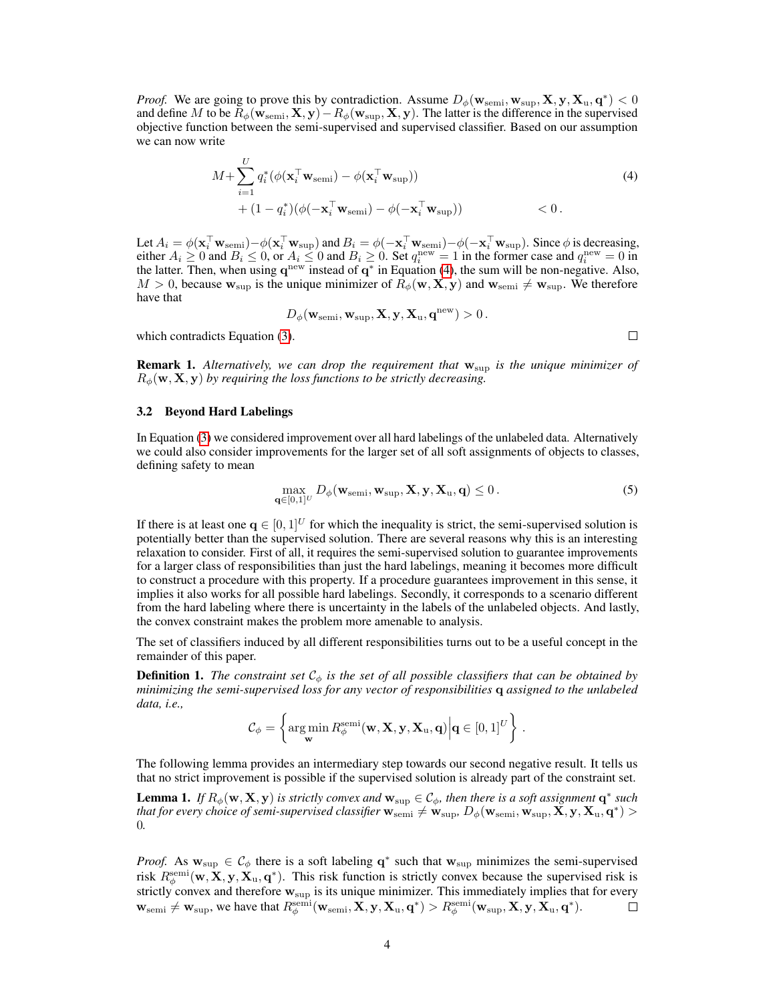*Proof.* We are going to prove this by contradiction. Assume  $D_{\phi}(\mathbf{w}_{\text{semi}}, \mathbf{w}_{\text{sup}}, \mathbf{X}, \mathbf{y}, \mathbf{X}_{\text{u}}, \mathbf{q}^*) < 0$ and define M to be  $R_{\phi}(\mathbf{w}_{\text{semi}}, \mathbf{X}, \mathbf{y}) - R_{\phi}(\mathbf{w}_{\text{sup}}, \mathbf{X}, \mathbf{y})$ . The latter is the difference in the supervised objective function between the semi-supervised and supervised classifier. Based on our assumption we can now write

$$
M + \sum_{i=1}^{U} q_i^* (\phi(\mathbf{x}_i^{\top} \mathbf{w}_{\text{semi}}) - \phi(\mathbf{x}_i^{\top} \mathbf{w}_{\text{sup}})) + (1 - q_i^*) (\phi(-\mathbf{x}_i^{\top} \mathbf{w}_{\text{semi}}) - \phi(-\mathbf{x}_i^{\top} \mathbf{w}_{\text{sup}})) < 0.
$$
\n(4)

Let  $A_i = \phi(\mathbf{x}_i^{\top} \mathbf{w}_{\text{semi}}) - \phi(\mathbf{x}_i^{\top} \mathbf{w}_{\text{sup}})$  and  $B_i = \phi(-\mathbf{x}_i^{\top} \mathbf{w}_{\text{semi}}) - \phi(-\mathbf{x}_i^{\top} \mathbf{w}_{\text{sup}})$ . Since  $\phi$  is decreasing, either  $A_i \ge 0$  and  $B_i \le 0$ , or  $A_i \le 0$  and  $B_i \ge 0$ . Set  $q_i^{\text{new}} = 1$  in the former case and  $q_i^{\text{new}} = 0$  in the latter. Then, when using  $q^{new}$  instead of  $q^*$  in Equation [\(4\)](#page-3-0), the sum will be non-negative. Also,  $M > 0$ , because  $w_{\text{sup}}$  is the unique minimizer of  $R_{\phi}(\mathbf{w}, \mathbf{X}, \mathbf{y})$  and  $w_{\text{semi}} \neq w_{\text{sup}}$ . We therefore have that

$$
D_\phi(\mathbf{w}_{\text{semi}}, \mathbf{w}_{\text{sup}}, \mathbf{X}, \mathbf{y}, \mathbf{X}_{\text{u}}, \mathbf{q}^{\text{new}}) > 0.
$$

<span id="page-3-0"></span> $\Box$ 

which contradicts Equation [\(3\)](#page-2-0).

**Remark 1.** Alternatively, we can drop the requirement that  $w_{\text{sup}}$  is the unique minimizer of  $R_{\phi}(\mathbf{w}, \mathbf{X}, \mathbf{y})$  by requiring the loss functions to be strictly decreasing.

#### 3.2 Beyond Hard Labelings

In Equation [\(3\)](#page-2-0) we considered improvement over all hard labelings of the unlabeled data. Alternatively we could also consider improvements for the larger set of all soft assignments of objects to classes, defining safety to mean

<span id="page-3-1"></span>
$$
\max_{\mathbf{q}\in[0,1]^U} D_{\phi}(\mathbf{w}_{\text{semi}}, \mathbf{w}_{\text{sup}}, \mathbf{X}, \mathbf{y}, \mathbf{X}_{\text{u}}, \mathbf{q}) \le 0.
$$
 (5)

If there is at least one  $q \in [0, 1]^U$  for which the inequality is strict, the semi-supervised solution is potentially better than the supervised solution. There are several reasons why this is an interesting relaxation to consider. First of all, it requires the semi-supervised solution to guarantee improvements for a larger class of responsibilities than just the hard labelings, meaning it becomes more difficult to construct a procedure with this property. If a procedure guarantees improvement in this sense, it implies it also works for all possible hard labelings. Secondly, it corresponds to a scenario different from the hard labeling where there is uncertainty in the labels of the unlabeled objects. And lastly, the convex constraint makes the problem more amenable to analysis.

The set of classifiers induced by all different responsibilities turns out to be a useful concept in the remainder of this paper.

**Definition 1.** *The constraint set*  $\mathcal{C}_{\phi}$  *is the set of all possible classifiers that can be obtained by minimizing the semi-supervised loss for any vector of responsibilities* q *assigned to the unlabeled data, i.e.,*

$$
\mathcal{C}_{\phi} = \left\{ \operatorname*{arg\,min}_{\mathbf{w}} R_{\phi}^{\operatorname{semi}}(\mathbf{w}, \mathbf{X}, \mathbf{y}, \mathbf{X}_{\mathrm{u}}, \mathbf{q}) \middle| \mathbf{q} \in [0, 1]^U \right\}.
$$

The following lemma provides an intermediary step towards our second negative result. It tells us that no strict improvement is possible if the supervised solution is already part of the constraint set.

<span id="page-3-2"></span>**Lemma 1.** If  $R_{\phi}(\mathbf{w}, \mathbf{X}, \mathbf{y})$  is strictly convex and  $\mathbf{w}_{\text{sup}} \in C_{\phi}$ , then there is a soft assignment  $\mathbf{q}^*$  such *that for every choice of semi-supervised classifier*  ${\bf w}_{\rm semi}\neq {\bf w}_{\rm sup}$ ,  $D_\phi({\bf w}_{\rm semi}, {\bf w}_{\rm sup}, {\tilde{\bf X}}, {\bf y}, {\bf X}_{\rm u}, {\bf q}^*)>0$ 0*.*

*Proof.* As  $w_{\text{sup}} \in C_{\phi}$  there is a soft labeling  $q^*$  such that  $w_{\text{sup}}$  minimizes the semi-supervised risk  $R_{\phi}^{\text{semi}}(w, X, y, X_u, q^*)$ . This risk function is strictly convex because the supervised risk is strictly convex and therefore  $w_{\text{sup}}$  is its unique minimizer. This immediately implies that for every  $\mathbf{w}_{\text{semi}} \neq \mathbf{w}_{\text{sup}}$ , we have that  $R_{\phi}^{\text{semi}}(\mathbf{w}_{\text{semi}}, \mathbf{X}, \mathbf{y}, \mathbf{X}_{\text{u}}, \mathbf{q}^*) > R_{\phi}^{\text{semi}}(\mathbf{w}_{\text{sup}}, \mathbf{X}, \mathbf{y}, \mathbf{X}_{\text{u}}, \mathbf{q}^*)$ .  $\Box$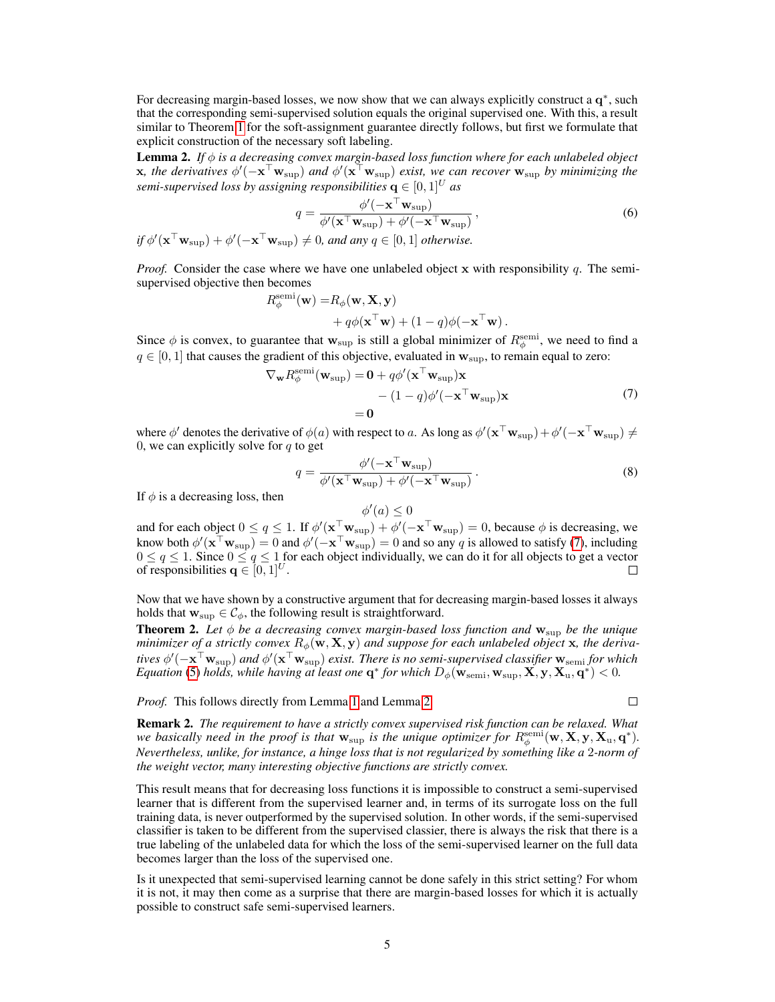For decreasing margin-based losses, we now show that we can always explicitly construct a  $q^*$ , such that the corresponding semi-supervised solution equals the original supervised one. With this, a result similar to Theorem [1](#page-2-1) for the soft-assignment guarantee directly follows, but first we formulate that explicit construction of the necessary soft labeling.

<span id="page-4-2"></span>Lemma 2. *If* φ *is a decreasing convex margin-based loss function where for each unlabeled object*  $x$ , the derivatives  $\phi'(-x^{\top}w_{\text{sup}})$  and  $\phi'(\mathbf{x}^{\top}w_{\text{sup}})$  exist, we can recover  $w_{\text{sup}}$  by minimizing the *semi-supervised loss by assigning responsibilities*  $q \in [0, 1]^U$  *as* 

$$
q = \frac{\phi'(-\mathbf{x}^{\top}\mathbf{w}_{\text{sup}})}{\phi'(\mathbf{x}^{\top}\mathbf{w}_{\text{sup}}) + \phi'(-\mathbf{x}^{\top}\mathbf{w}_{\text{sup}})},
$$
  
if  $\phi'(\mathbf{x}^{\top}\mathbf{w}_{\text{sup}}) + \phi'(-\mathbf{x}^{\top}\mathbf{w}_{\text{sup}}) \neq 0$ , and any  $q \in [0, 1]$  otherwise. (6)

*Proof.* Consider the case where we have one unlabeled object x with responsibility q. The semisupervised objective then becomes

<span id="page-4-3"></span>
$$
R^{\text{semi}}_{\phi}(\mathbf{w}) = R_{\phi}(\mathbf{w}, \mathbf{X}, \mathbf{y}) + q\phi(\mathbf{x}^{\top}\mathbf{w}) + (1 - q)\phi(-\mathbf{x}^{\top}\mathbf{w}).
$$

Since  $\phi$  is convex, to guarantee that  $w_{\text{sup}}$  is still a global minimizer of  $R_{\phi}^{\text{semi}}$ , we need to find a  $q \in [0, 1]$  that causes the gradient of this objective, evaluated in  $w_{\text{sun}}$ , to remain equal to zero:

$$
\nabla_{\mathbf{w}} R_{\phi}^{\text{semi}}(\mathbf{w}_{\text{sup}}) = \mathbf{0} + q\phi'(\mathbf{x}^{\top}\mathbf{w}_{\text{sup}})\mathbf{x}
$$
  
 
$$
- (1 - q)\phi'(-\mathbf{x}^{\top}\mathbf{w}_{\text{sup}})\mathbf{x}
$$
  
= 
$$
\mathbf{0}
$$
 (7)

where  $\phi'$  denotes the derivative of  $\phi(a)$  with respect to a. As long as  $\phi'(\mathbf{x}^\top \mathbf{w}_{\text{sup}}) + \phi'(-\mathbf{x}^\top \mathbf{w}_{\text{sup}}) \neq 0$ 0, we can explicitly solve for  $q$  to get

$$
q = \frac{\phi'(-\mathbf{x}^\top \mathbf{w}_{\text{sup}})}{\phi'(\mathbf{x}^\top \mathbf{w}_{\text{sup}}) + \phi'(-\mathbf{x}^\top \mathbf{w}_{\text{sup}})}.
$$
 (8)

 $\Box$ 

If  $\phi$  is a decreasing loss, then

and for each object  $0 \le q \le 1$ . If  $\phi'(\mathbf{x}^\top \mathbf{w}_{\text{sup}}) + \phi'(-\mathbf{x}^\top \mathbf{w}_{\text{sup}}) = 0$ , because  $\phi$  is decreasing, we know both  $\phi'(\mathbf{x}^\top \mathbf{w}_{\text{sup}}) = 0$  and  $\phi'(-\mathbf{x}^\top \mathbf{w}_{\text{sup}}) = 0$  and so any q is allowed to satisfy [\(7\)](#page-4-1), including  $0 \le q \le 1$ . Since  $0 \le q \le 1$  for each object individually, we can do it for all objects to get a vector of responsibilities  $q \in [0, 1]^U$ .  $\Box$ 

<span id="page-4-1"></span> $\phi'(a) \leq 0$ 

Now that we have shown by a constructive argument that for decreasing margin-based losses it always holds that  $w_{\text{sup}} \in C_{\phi}$ , the following result is straightforward.

<span id="page-4-0"></span>**Theorem 2.** Let  $\phi$  be a decreasing convex margin-based loss function and  $w_{\text{sup}}$  be the unique *minimizer of a strictly convex*  $R_{\phi}(\mathbf{w}, \mathbf{X}, \mathbf{y})$  *and suppose for each unlabeled object* x, the derivatives  $\phi'(-\mathbf{x}^\top\mathbf{w}_\mathrm{sup})$  and  $\phi'(\mathbf{x}^\top\mathbf{w}_\mathrm{sup})$  exist. There is no semi-supervised classifier  $\mathbf{w}_\mathrm{semi}$  for which *Equation* [\(5\)](#page-3-1) *holds, while having at least one*  $q^*$  *for which*  $D_\phi(\mathbf{\hat{w}}_{semi}, \mathbf{w}_{sup}, \mathbf{X}, \mathbf{y}, \mathbf{X}_u, \mathbf{q}^*)$  < 0.

*Proof.* This follows directly from Lemma [1](#page-3-2) and Lemma [2.](#page-4-2)

Remark 2. *The requirement to have a strictly convex supervised risk function can be relaxed. What we basically need in the proof is that*  $w_{\text{sup}}$  *is the unique optimizer for*  $R_{\phi}^{\text{semi}}(w, X, y, X_u, q^*)$ *. Nevertheless, unlike, for instance, a hinge loss that is not regularized by something like a* 2*-norm of the weight vector, many interesting objective functions are strictly convex.*

This result means that for decreasing loss functions it is impossible to construct a semi-supervised learner that is different from the supervised learner and, in terms of its surrogate loss on the full training data, is never outperformed by the supervised solution. In other words, if the semi-supervised classifier is taken to be different from the supervised classier, there is always the risk that there is a true labeling of the unlabeled data for which the loss of the semi-supervised learner on the full data becomes larger than the loss of the supervised one.

Is it unexpected that semi-supervised learning cannot be done safely in this strict setting? For whom it is not, it may then come as a surprise that there are margin-based losses for which it is actually possible to construct safe semi-supervised learners.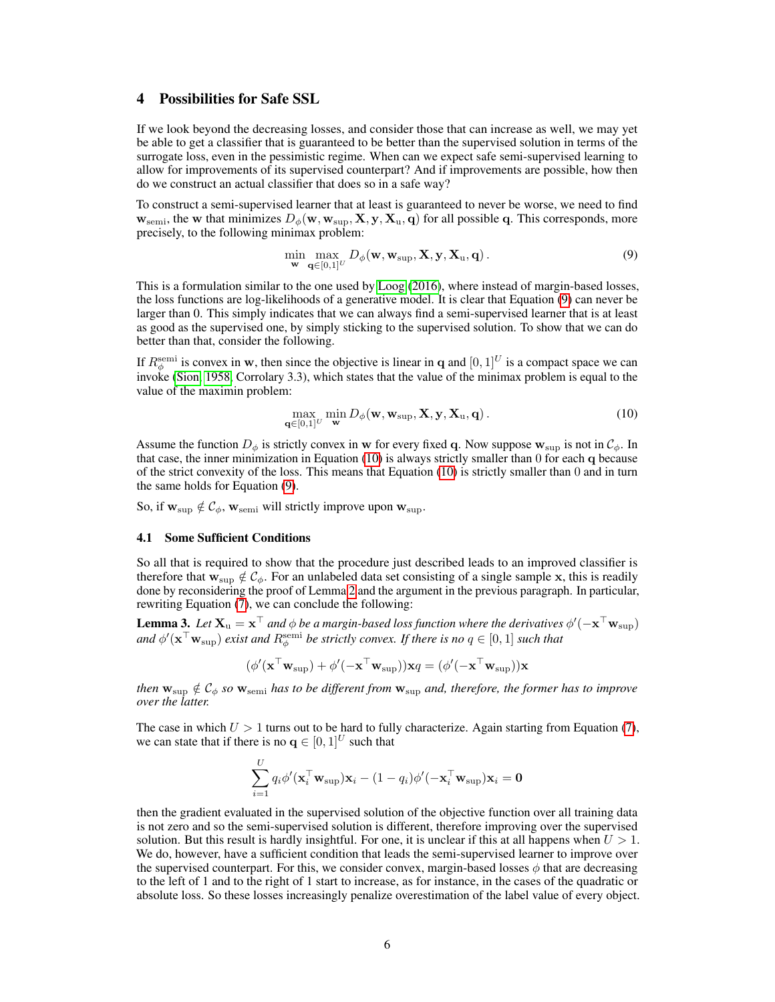## <span id="page-5-0"></span>4 Possibilities for Safe SSL

If we look beyond the decreasing losses, and consider those that can increase as well, we may yet be able to get a classifier that is guaranteed to be better than the supervised solution in terms of the surrogate loss, even in the pessimistic regime. When can we expect safe semi-supervised learning to allow for improvements of its supervised counterpart? And if improvements are possible, how then do we construct an actual classifier that does so in a safe way?

To construct a semi-supervised learner that at least is guaranteed to never be worse, we need to find  $w_{\text{semi}}$ , the w that minimizes  $D_{\phi}(w, w_{\text{sup}}, X, y, X_u, q)$  for all possible q. This corresponds, more precisely, to the following minimax problem:

<span id="page-5-1"></span>
$$
\min_{\mathbf{w}} \max_{\mathbf{q} \in [0,1]^U} D_{\phi}(\mathbf{w}, \mathbf{w}_{\text{sup}}, \mathbf{X}, \mathbf{y}, \mathbf{X}_{\text{u}}, \mathbf{q}). \tag{9}
$$

This is a formulation similar to the one used by [Loog](#page-8-8) [\(2016\)](#page-8-8), where instead of margin-based losses, the loss functions are log-likelihoods of a generative model. It is clear that Equation [\(9\)](#page-5-1) can never be larger than 0. This simply indicates that we can always find a semi-supervised learner that is at least as good as the supervised one, by simply sticking to the supervised solution. To show that we can do better than that, consider the following.

If  $R_{\phi}^{\text{semi}}$  is convex in w, then since the objective is linear in q and  $[0, 1]^U$  is a compact space we can invoke [\(Sion, 1958,](#page-9-3) Corrolary 3.3), which states that the value of the minimax problem is equal to the value of the maximin problem:

<span id="page-5-2"></span>
$$
\max_{\mathbf{q}\in[0,1]^U}\min_{\mathbf{w}} D_{\phi}(\mathbf{w}, \mathbf{w}_{\text{sup}}, \mathbf{X}, \mathbf{y}, \mathbf{X}_{\text{u}}, \mathbf{q}).
$$
\n(10)

Assume the function  $D_{\phi}$  is strictly convex in w for every fixed q. Now suppose  $w_{\text{sup}}$  is not in  $\mathcal{C}_{\phi}$ . In that case, the inner minimization in Equation [\(10\)](#page-5-2) is always strictly smaller than 0 for each q because of the strict convexity of the loss. This means that Equation [\(10\)](#page-5-2) is strictly smaller than 0 and in turn the same holds for Equation [\(9\)](#page-5-1).

So, if  $w_{\text{sup}} \notin C_{\phi}$ ,  $w_{\text{semi}}$  will strictly improve upon  $w_{\text{sup}}$ .

#### 4.1 Some Sufficient Conditions

So all that is required to show that the procedure just described leads to an improved classifier is therefore that  $w_{\text{sup}} \notin C_{\phi}$ . For an unlabeled data set consisting of a single sample x, this is readily done by reconsidering the proof of Lemma [2](#page-4-2) and the argument in the previous paragraph. In particular, rewriting Equation  $(7)$ , we can conclude the following:

**Lemma 3.** Let  $X_u = x^{\top}$  and  $\phi$  be a margin-based loss function where the derivatives  $\phi'(-x^{\top}w_{\sup})$ and  $\phi'(\mathbf{x}^\top\mathbf{w}_{\sup})$  *exist and*  $R_{\phi}^{\text{semi}}$  *be strictly convex. If there is no*  $q\in[0,1]$  *such that* 

$$
(\phi'(\mathbf{x}^\top\mathbf{w}_\text{sup}) + \phi'(-\mathbf{x}^\top\mathbf{w}_\text{sup}))\mathbf{x}q = (\phi'(-\mathbf{x}^\top\mathbf{w}_\text{sup}))\mathbf{x}
$$

*then*  $w_{\text{sup}} \notin C_{\phi}$  *so*  $w_{\text{semi}}$  *has to be different from*  $w_{\text{sup}}$  *and, therefore, the former has to improve over the latter.*

The case in which  $U > 1$  turns out to be hard to fully characterize. Again starting from Equation [\(7\)](#page-4-1), we can state that if there is no  $\mathbf{q} \in [0, 1]^U$  such that

$$
\sum_{i=1}^U q_i \phi'(\mathbf{x}_i^\top \mathbf{w}_\text{sup}) \mathbf{x}_i - (1 - q_i) \phi'(-\mathbf{x}_i^\top \mathbf{w}_\text{sup}) \mathbf{x}_i = \mathbf{0}
$$

then the gradient evaluated in the supervised solution of the objective function over all training data is not zero and so the semi-supervised solution is different, therefore improving over the supervised solution. But this result is hardly insightful. For one, it is unclear if this at all happens when  $U > 1$ . We do, however, have a sufficient condition that leads the semi-supervised learner to improve over the supervised counterpart. For this, we consider convex, margin-based losses  $\phi$  that are decreasing to the left of 1 and to the right of 1 start to increase, as for instance, in the cases of the quadratic or absolute loss. So these losses increasingly penalize overestimation of the label value of every object.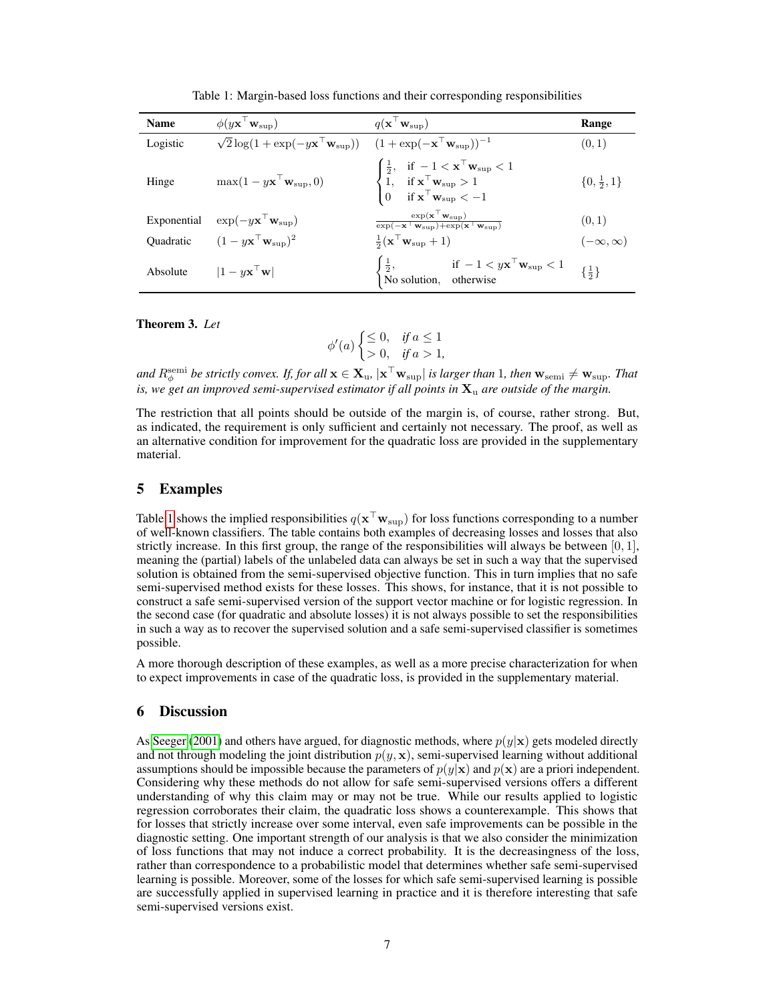| <b>Name</b> | $\phi(y\mathbf{x}^{\top}\mathbf{w}_{\text{sup}})$                                                                                 | $q(\mathbf{x} \mid \mathbf{w}_{\text{sup}})$                                                                                                                                                                                         | Range                   |
|-------------|-----------------------------------------------------------------------------------------------------------------------------------|--------------------------------------------------------------------------------------------------------------------------------------------------------------------------------------------------------------------------------------|-------------------------|
| Logistic    | $\sqrt{2} \log(1 + \exp(-y \mathbf{x}^\top \mathbf{w}_{\text{sup}}))$ $(1 + \exp(-\mathbf{x}^\top \mathbf{w}_{\text{sup}}))^{-1}$ |                                                                                                                                                                                                                                      | (0, 1)                  |
| Hinge       | $\max(1 - y\mathbf{x}^\top \mathbf{w}_{\text{sup}}, 0)$                                                                           | $\begin{cases} \frac{1}{2}, & \text{if } -1 < \mathbf{x}^\top \mathbf{w}_\mathrm{sup} < 1 \\ 1, & \text{if } \mathbf{x}^\top \mathbf{w}_\mathrm{sup} > 1 \\ 0 & \text{if } \mathbf{x}^\top \mathbf{w}_\mathrm{sup} < -1 \end{cases}$ | $\{0, \frac{1}{2}, 1\}$ |
| Exponential | $\exp(-y\mathbf{x}^+\mathbf{w}_{\text{sup}})$                                                                                     | $\frac{\exp(\mathbf x^\top \mathbf w_\mathrm{sup})}{\exp(-\mathbf x^\top \mathbf w_\mathrm{sup}) + \exp(\mathbf x^\top \mathbf w_\mathrm{sup})}$                                                                                     | (0, 1)                  |
|             | Quadratic $(1 - y\mathbf{x}^\top \mathbf{w}_{\text{sup}})^2$                                                                      | $\frac{1}{2}(\mathbf{x}^\top \mathbf{w}_{\text{sup}} + 1)$                                                                                                                                                                           | $(-\infty,\infty)$      |
| Absolute    | $ 1 - y\mathbf{x}^{\top}\mathbf{w} $                                                                                              | $\begin{cases} \frac{1}{2}, & \text{if } -1 < y\mathbf{x}^\top \mathbf{w}_{\text{sup}} < 1 \\ \text{No solution}, & \text{otherwise} \end{cases} \quad \{ \frac{1}{2} \}$                                                            |                         |

<span id="page-6-2"></span>Table 1: Margin-based loss functions and their corresponding responsibilities

## <span id="page-6-3"></span>Theorem 3. *Let*

$$
\phi'(a) \begin{cases} \leq 0, & \text{if } a \leq 1 \\ > 0, & \text{if } a > 1, \end{cases}
$$

and  $R_\phi^\text{semi}$  be strictly convex. If, for all  $\mathbf{x} \in \mathbf{X}_u$ ,  $|\mathbf{x}^\top \mathbf{w}_{\text{sup}}|$  is larger than 1, then  $\mathbf{w}_{\text{semi}} \neq \mathbf{w}_{\text{sup}}$ . That *is, we get an improved semi-supervised estimator if all points in*  $\mathbf{X}_u$  *are outside of the margin.* 

The restriction that all points should be outside of the margin is, of course, rather strong. But, as indicated, the requirement is only sufficient and certainly not necessary. The proof, as well as an alternative condition for improvement for the quadratic loss are provided in the supplementary material.

## <span id="page-6-0"></span>5 Examples

Table [1](#page-6-2) shows the implied responsibilities  $q(\mathbf{x}^\top \mathbf{w}_{\text{sup}})$  for loss functions corresponding to a number of well-known classifiers. The table contains both examples of decreasing losses and losses that also strictly increase. In this first group, the range of the responsibilities will always be between  $[0, 1]$ , meaning the (partial) labels of the unlabeled data can always be set in such a way that the supervised solution is obtained from the semi-supervised objective function. This in turn implies that no safe semi-supervised method exists for these losses. This shows, for instance, that it is not possible to construct a safe semi-supervised version of the support vector machine or for logistic regression. In the second case (for quadratic and absolute losses) it is not always possible to set the responsibilities in such a way as to recover the supervised solution and a safe semi-supervised classifier is sometimes possible.

A more thorough description of these examples, as well as a more precise characterization for when to expect improvements in case of the quadratic loss, is provided in the supplementary material.

## <span id="page-6-1"></span>6 Discussion

As [Seeger](#page-9-4) [\(2001\)](#page-9-4) and others have argued, for diagnostic methods, where  $p(y|\mathbf{x})$  gets modeled directly and not through modeling the joint distribution  $p(y, x)$ , semi-supervised learning without additional assumptions should be impossible because the parameters of  $p(y|x)$  and  $p(x)$  are a priori independent. Considering why these methods do not allow for safe semi-supervised versions offers a different understanding of why this claim may or may not be true. While our results applied to logistic regression corroborates their claim, the quadratic loss shows a counterexample. This shows that for losses that strictly increase over some interval, even safe improvements can be possible in the diagnostic setting. One important strength of our analysis is that we also consider the minimization of loss functions that may not induce a correct probability. It is the decreasingness of the loss, rather than correspondence to a probabilistic model that determines whether safe semi-supervised learning is possible. Moreover, some of the losses for which safe semi-supervised learning is possible are successfully applied in supervised learning in practice and it is therefore interesting that safe semi-supervised versions exist.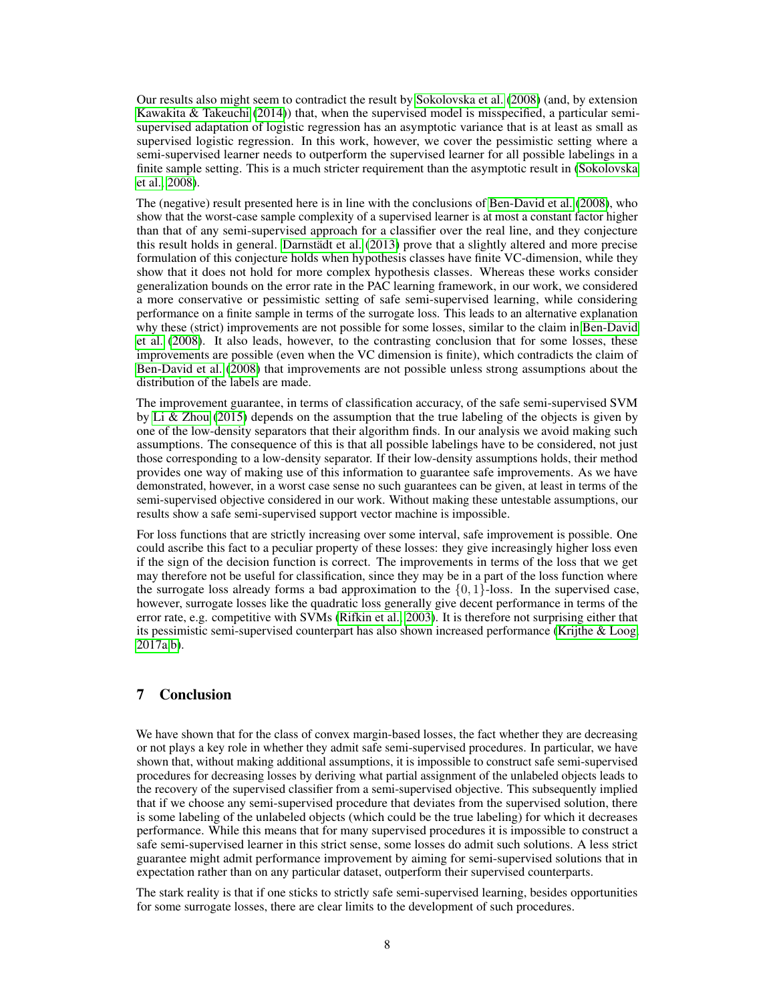Our results also might seem to contradict the result by [Sokolovska et al.](#page-9-2) [\(2008\)](#page-9-2) (and, by extension [Kawakita & Takeuchi](#page-8-9) [\(2014\)](#page-8-9)) that, when the supervised model is misspecified, a particular semisupervised adaptation of logistic regression has an asymptotic variance that is at least as small as supervised logistic regression. In this work, however, we cover the pessimistic setting where a semi-supervised learner needs to outperform the supervised learner for all possible labelings in a finite sample setting. This is a much stricter requirement than the asymptotic result in [\(Sokolovska](#page-9-2) [et al., 2008\)](#page-9-2).

The (negative) result presented here is in line with the conclusions of [Ben-David et al.](#page-8-6) [\(2008\)](#page-8-6), who show that the worst-case sample complexity of a supervised learner is at most a constant factor higher than that of any semi-supervised approach for a classifier over the real line, and they conjecture this result holds in general. [Darnstädt et al.](#page-8-10) [\(2013\)](#page-8-10) prove that a slightly altered and more precise formulation of this conjecture holds when hypothesis classes have finite VC-dimension, while they show that it does not hold for more complex hypothesis classes. Whereas these works consider generalization bounds on the error rate in the PAC learning framework, in our work, we considered a more conservative or pessimistic setting of safe semi-supervised learning, while considering performance on a finite sample in terms of the surrogate loss. This leads to an alternative explanation why these (strict) improvements are not possible for some losses, similar to the claim in [Ben-David](#page-8-6) [et al.](#page-8-6) [\(2008\)](#page-8-6). It also leads, however, to the contrasting conclusion that for some losses, these improvements are possible (even when the VC dimension is finite), which contradicts the claim of [Ben-David et al.](#page-8-6) [\(2008\)](#page-8-6) that improvements are not possible unless strong assumptions about the distribution of the labels are made.

The improvement guarantee, in terms of classification accuracy, of the safe semi-supervised SVM by [Li & Zhou](#page-8-4) [\(2015\)](#page-8-4) depends on the assumption that the true labeling of the objects is given by one of the low-density separators that their algorithm finds. In our analysis we avoid making such assumptions. The consequence of this is that all possible labelings have to be considered, not just those corresponding to a low-density separator. If their low-density assumptions holds, their method provides one way of making use of this information to guarantee safe improvements. As we have demonstrated, however, in a worst case sense no such guarantees can be given, at least in terms of the semi-supervised objective considered in our work. Without making these untestable assumptions, our results show a safe semi-supervised support vector machine is impossible.

For loss functions that are strictly increasing over some interval, safe improvement is possible. One could ascribe this fact to a peculiar property of these losses: they give increasingly higher loss even if the sign of the decision function is correct. The improvements in terms of the loss that we get may therefore not be useful for classification, since they may be in a part of the loss function where the surrogate loss already forms a bad approximation to the  $\{0, 1\}$ -loss. In the supervised case, however, surrogate losses like the quadratic loss generally give decent performance in terms of the error rate, e.g. competitive with SVMs [\(Rifkin et al., 2003\)](#page-9-5). It is therefore not surprising either that its pessimistic semi-supervised counterpart has also shown increased performance [\(Krijthe & Loog,](#page-8-11) [2017a](#page-8-11)[,b\)](#page-8-12).

# 7 Conclusion

We have shown that for the class of convex margin-based losses, the fact whether they are decreasing or not plays a key role in whether they admit safe semi-supervised procedures. In particular, we have shown that, without making additional assumptions, it is impossible to construct safe semi-supervised procedures for decreasing losses by deriving what partial assignment of the unlabeled objects leads to the recovery of the supervised classifier from a semi-supervised objective. This subsequently implied that if we choose any semi-supervised procedure that deviates from the supervised solution, there is some labeling of the unlabeled objects (which could be the true labeling) for which it decreases performance. While this means that for many supervised procedures it is impossible to construct a safe semi-supervised learner in this strict sense, some losses do admit such solutions. A less strict guarantee might admit performance improvement by aiming for semi-supervised solutions that in expectation rather than on any particular dataset, outperform their supervised counterparts.

The stark reality is that if one sticks to strictly safe semi-supervised learning, besides opportunities for some surrogate losses, there are clear limits to the development of such procedures.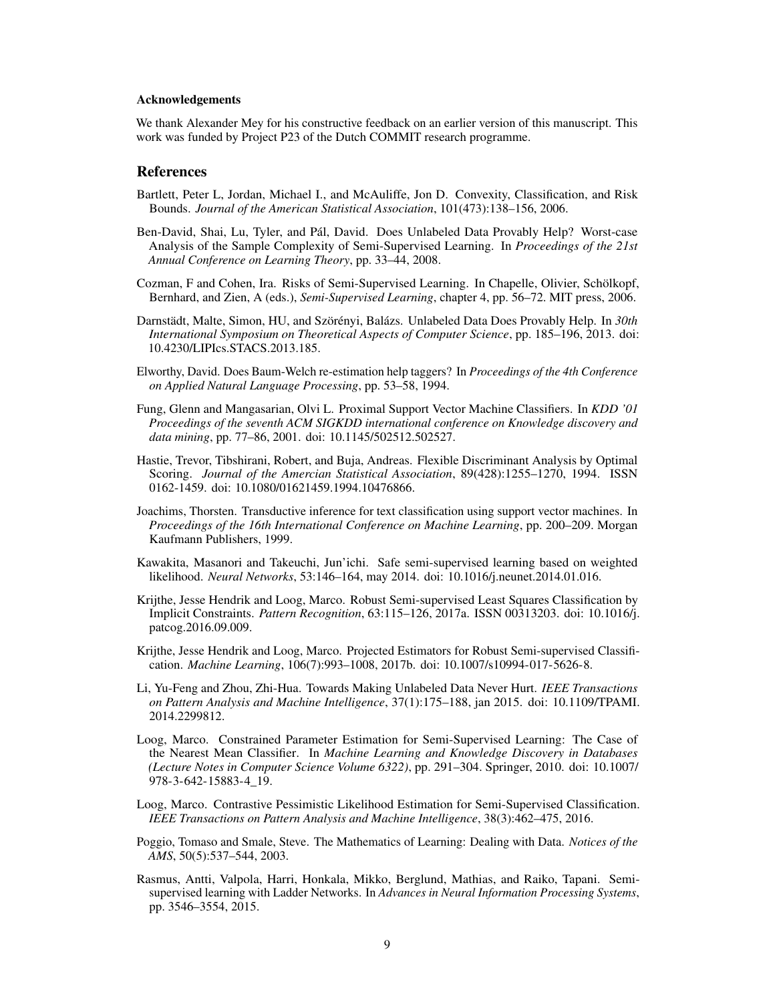#### Acknowledgements

We thank Alexander Mey for his constructive feedback on an earlier version of this manuscript. This work was funded by Project P23 of the Dutch COMMIT research programme.

## References

- <span id="page-8-7"></span>Bartlett, Peter L, Jordan, Michael I., and McAuliffe, Jon D. Convexity, Classification, and Risk Bounds. *Journal of the American Statistical Association*, 101(473):138–156, 2006.
- <span id="page-8-6"></span>Ben-David, Shai, Lu, Tyler, and Pál, David. Does Unlabeled Data Provably Help? Worst-case Analysis of the Sample Complexity of Semi-Supervised Learning. In *Proceedings of the 21st Annual Conference on Learning Theory*, pp. 33–44, 2008.
- <span id="page-8-2"></span>Cozman, F and Cohen, Ira. Risks of Semi-Supervised Learning. In Chapelle, Olivier, Schölkopf, Bernhard, and Zien, A (eds.), *Semi-Supervised Learning*, chapter 4, pp. 56–72. MIT press, 2006.
- <span id="page-8-10"></span>Darnstädt, Malte, Simon, HU, and Szörényi, Balázs. Unlabeled Data Does Provably Help. In *30th International Symposium on Theoretical Aspects of Computer Science*, pp. 185–196, 2013. doi: 10.4230/LIPIcs.STACS.2013.185.
- <span id="page-8-1"></span>Elworthy, David. Does Baum-Welch re-estimation help taggers? In *Proceedings of the 4th Conference on Applied Natural Language Processing*, pp. 53–58, 1994.
- <span id="page-8-15"></span>Fung, Glenn and Mangasarian, Olvi L. Proximal Support Vector Machine Classifiers. In *KDD '01 Proceedings of the seventh ACM SIGKDD international conference on Knowledge discovery and data mining*, pp. 77–86, 2001. doi: 10.1145/502512.502527.
- <span id="page-8-13"></span>Hastie, Trevor, Tibshirani, Robert, and Buja, Andreas. Flexible Discriminant Analysis by Optimal Scoring. *Journal of the Amercian Statistical Association*, 89(428):1255–1270, 1994. ISSN 0162-1459. doi: 10.1080/01621459.1994.10476866.
- <span id="page-8-5"></span>Joachims, Thorsten. Transductive inference for text classification using support vector machines. In *Proceedings of the 16th International Conference on Machine Learning*, pp. 200–209. Morgan Kaufmann Publishers, 1999.
- <span id="page-8-9"></span>Kawakita, Masanori and Takeuchi, Jun'ichi. Safe semi-supervised learning based on weighted likelihood. *Neural Networks*, 53:146–164, may 2014. doi: 10.1016/j.neunet.2014.01.016.
- <span id="page-8-11"></span>Krijthe, Jesse Hendrik and Loog, Marco. Robust Semi-supervised Least Squares Classification by Implicit Constraints. *Pattern Recognition*, 63:115–126, 2017a. ISSN 00313203. doi: 10.1016/j. patcog.2016.09.009.
- <span id="page-8-12"></span>Krijthe, Jesse Hendrik and Loog, Marco. Projected Estimators for Robust Semi-supervised Classification. *Machine Learning*, 106(7):993–1008, 2017b. doi: 10.1007/s10994-017-5626-8.
- <span id="page-8-4"></span>Li, Yu-Feng and Zhou, Zhi-Hua. Towards Making Unlabeled Data Never Hurt. *IEEE Transactions on Pattern Analysis and Machine Intelligence*, 37(1):175–188, jan 2015. doi: 10.1109/TPAMI. 2014.2299812.
- <span id="page-8-3"></span>Loog, Marco. Constrained Parameter Estimation for Semi-Supervised Learning: The Case of the Nearest Mean Classifier. In *Machine Learning and Knowledge Discovery in Databases (Lecture Notes in Computer Science Volume 6322)*, pp. 291–304. Springer, 2010. doi: 10.1007/ 978-3-642-15883-4\_19.
- <span id="page-8-8"></span>Loog, Marco. Contrastive Pessimistic Likelihood Estimation for Semi-Supervised Classification. *IEEE Transactions on Pattern Analysis and Machine Intelligence*, 38(3):462–475, 2016.
- <span id="page-8-14"></span>Poggio, Tomaso and Smale, Steve. The Mathematics of Learning: Dealing with Data. *Notices of the AMS*, 50(5):537–544, 2003.
- <span id="page-8-0"></span>Rasmus, Antti, Valpola, Harri, Honkala, Mikko, Berglund, Mathias, and Raiko, Tapani. Semisupervised learning with Ladder Networks. In *Advances in Neural Information Processing Systems*, pp. 3546–3554, 2015.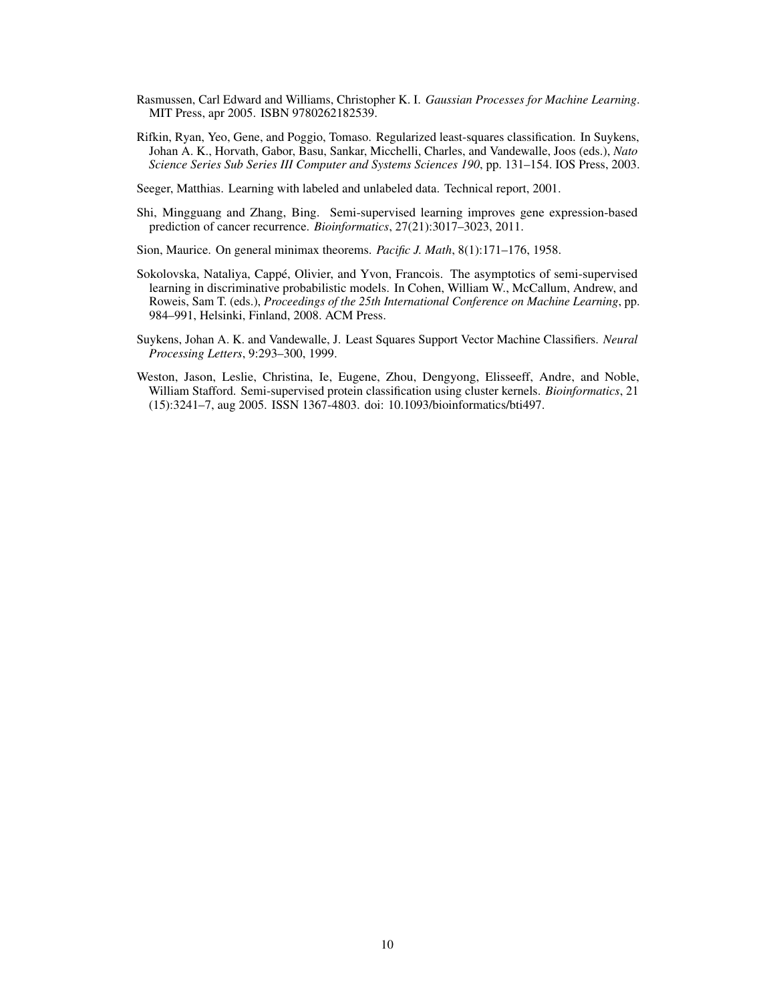- <span id="page-9-7"></span>Rasmussen, Carl Edward and Williams, Christopher K. I. *Gaussian Processes for Machine Learning*. MIT Press, apr 2005. ISBN 9780262182539.
- <span id="page-9-5"></span>Rifkin, Ryan, Yeo, Gene, and Poggio, Tomaso. Regularized least-squares classification. In Suykens, Johan A. K., Horvath, Gabor, Basu, Sankar, Micchelli, Charles, and Vandewalle, Joos (eds.), *Nato Science Series Sub Series III Computer and Systems Sciences 190*, pp. 131–154. IOS Press, 2003.
- <span id="page-9-4"></span>Seeger, Matthias. Learning with labeled and unlabeled data. Technical report, 2001.
- <span id="page-9-1"></span>Shi, Mingguang and Zhang, Bing. Semi-supervised learning improves gene expression-based prediction of cancer recurrence. *Bioinformatics*, 27(21):3017–3023, 2011.
- <span id="page-9-3"></span>Sion, Maurice. On general minimax theorems. *Pacific J. Math*, 8(1):171–176, 1958.
- <span id="page-9-2"></span>Sokolovska, Nataliya, Cappé, Olivier, and Yvon, Francois. The asymptotics of semi-supervised learning in discriminative probabilistic models. In Cohen, William W., McCallum, Andrew, and Roweis, Sam T. (eds.), *Proceedings of the 25th International Conference on Machine Learning*, pp. 984–991, Helsinki, Finland, 2008. ACM Press.
- <span id="page-9-6"></span>Suykens, Johan A. K. and Vandewalle, J. Least Squares Support Vector Machine Classifiers. *Neural Processing Letters*, 9:293–300, 1999.
- <span id="page-9-0"></span>Weston, Jason, Leslie, Christina, Ie, Eugene, Zhou, Dengyong, Elisseeff, Andre, and Noble, William Stafford. Semi-supervised protein classification using cluster kernels. *Bioinformatics*, 21 (15):3241–7, aug 2005. ISSN 1367-4803. doi: 10.1093/bioinformatics/bti497.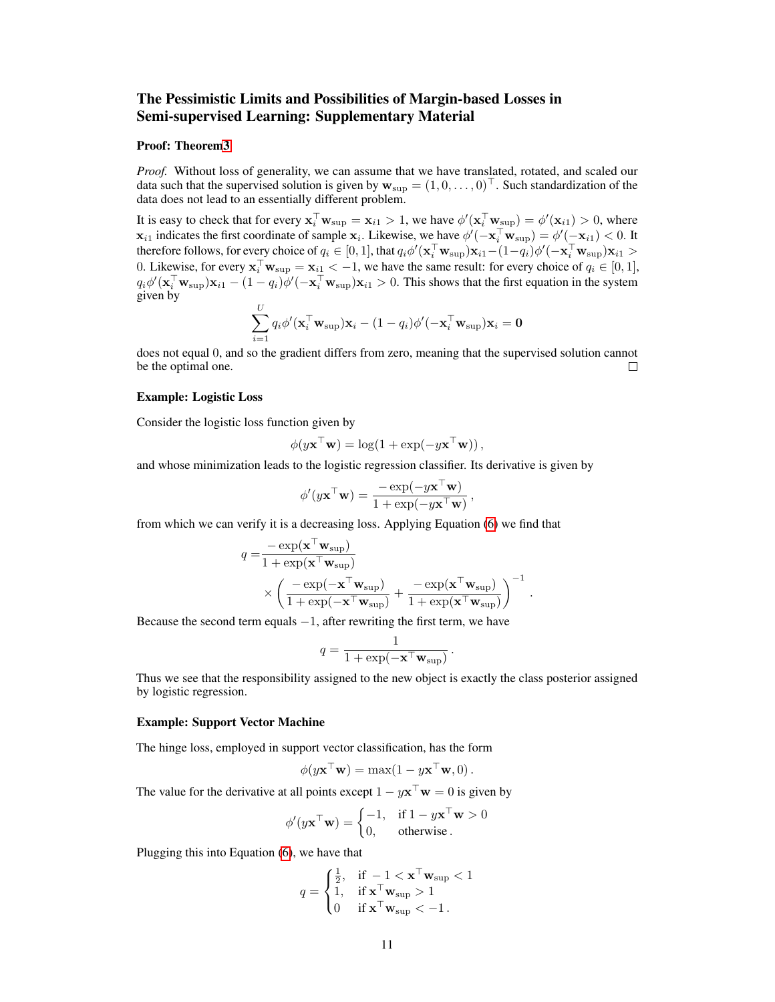# The Pessimistic Limits and Possibilities of Margin-based Losses in Semi-supervised Learning: Supplementary Material

## Proof: Theore[m3](#page-6-3)

*Proof.* Without loss of generality, we can assume that we have translated, rotated, and scaled our data such that the supervised solution is given by  $w_{\text{sup}} = (1, 0, \dots, 0)^{\top}$ . Such standardization of the data does not lead to an essentially different problem.

It is easy to check that for every  $\mathbf{x}_i^{\top} \mathbf{w}_{\text{sup}} = \mathbf{x}_{i1} > 1$ , we have  $\phi'(\mathbf{x}_i^{\top} \mathbf{w}_{\text{sup}}) = \phi'(\mathbf{x}_{i1}) > 0$ , where  $\mathbf{x}_{i1}$  indicates the first coordinate of sample  $\mathbf{x}_i$ . Likewise, we have  $\phi'(-\mathbf{x}_i^{\top}\mathbf{w}_{\text{sup}}) = \phi'(-\mathbf{x}_{i1}) < 0$ . It therefore follows, for every choice of  $q_i\in[0,1]$ , that  $q_i\phi'(\mathbf{x}_i^\top\mathbf{w}_{\sup})\mathbf{x}_{i1}-(1-q_i)\phi'(-\mathbf{x}_i^\top\mathbf{w}_{\sup})\mathbf{x}_{i1}>$ 0. Likewise, for every  $\mathbf{x}_i^{\top} \mathbf{w}_{\text{sup}} = \mathbf{x}_{i\perp} < -1$ , we have the same result: for every choice of  $q_i \in [0, 1]$ ,  $q_i\phi'(\mathbf{x}_i^{\top}\mathbf{w}_{\text{sup}})\mathbf{x}_{i1} - (1 - q_i)\phi'(-\mathbf{x}_i^{\top}\mathbf{w}_{\text{sup}})\mathbf{x}_{i1} > 0$ . This shows that the first equation in the system given by

$$
\sum_{i=1}^{U} q_i \phi'(\mathbf{x}_i^{\top} \mathbf{w}_{\text{sup}}) \mathbf{x}_i - (1 - q_i) \phi'(-\mathbf{x}_i^{\top} \mathbf{w}_{\text{sup}}) \mathbf{x}_i = \mathbf{0}
$$

does not equal 0, and so the gradient differs from zero, meaning that the supervised solution cannot be the optimal one.  $\Box$ 

#### Example: Logistic Loss

Consider the logistic loss function given by

$$
\phi(y\mathbf{x}^\top\mathbf{w}) = \log(1 + \exp(-y\mathbf{x}^\top\mathbf{w})),
$$

and whose minimization leads to the logistic regression classifier. Its derivative is given by

$$
\phi'(y\mathbf{x}^{\top}\mathbf{w}) = \frac{-\exp(-y\mathbf{x}^{\top}\mathbf{w})}{1 + \exp(-y\mathbf{x}^{\top}\mathbf{w})},
$$

from which we can verify it is a decreasing loss. Applying Equation [\(6\)](#page-4-3) we find that

$$
q = \frac{-\exp(\mathbf{x}^\top \mathbf{w}_{\text{sup}})}{1 + \exp(\mathbf{x}^\top \mathbf{w}_{\text{sup}})}\times \left(\frac{-\exp(-\mathbf{x}^\top \mathbf{w}_{\text{sup}})}{1 + \exp(-\mathbf{x}^\top \mathbf{w}_{\text{sup}})} + \frac{-\exp(\mathbf{x}^\top \mathbf{w}_{\text{sup}})}{1 + \exp(\mathbf{x}^\top \mathbf{w}_{\text{sup}})}\right)^{-1}
$$

.

Because the second term equals  $-1$ , after rewriting the first term, we have

$$
q = \frac{1}{1 + \exp(-\mathbf{x}^\top \mathbf{w}_{\text{sup}})}.
$$

Thus we see that the responsibility assigned to the new object is exactly the class posterior assigned by logistic regression.

## Example: Support Vector Machine

The hinge loss, employed in support vector classification, has the form

$$
\phi(y\mathbf{x}^\top\mathbf{w}) = \max(1 - y\mathbf{x}^\top\mathbf{w}, 0).
$$

The value for the derivative at all points except  $1 - y\mathbf{x}^\top \mathbf{w} = 0$  is given by

$$
\phi'(y\mathbf{x}^\top\mathbf{w}) = \begin{cases} -1, & \text{if } 1 - y\mathbf{x}^\top\mathbf{w} > 0 \\ 0, & \text{otherwise} \end{cases}
$$

Plugging this into Equation [\(6\)](#page-4-3), we have that

$$
q = \begin{cases} \frac{1}{2}, & \text{if } -1 < \mathbf{x}^\top \mathbf{w}_{\text{sup}} < 1 \\ 1, & \text{if } \mathbf{x}^\top \mathbf{w}_{\text{sup}} > 1 \\ 0 & \text{if } \mathbf{x}^\top \mathbf{w}_{\text{sup}} < -1 \end{cases}
$$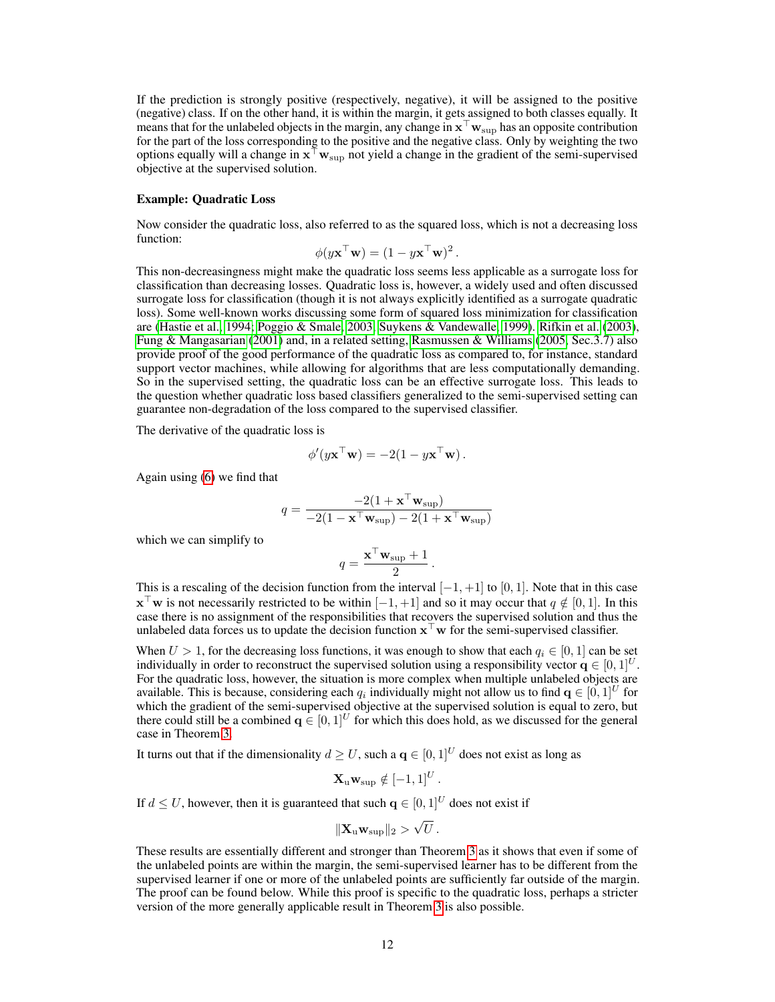If the prediction is strongly positive (respectively, negative), it will be assigned to the positive (negative) class. If on the other hand, it is within the margin, it gets assigned to both classes equally. It means that for the unlabeled objects in the margin, any change in  $x^{\top}w_{\text{sup}}$  has an opposite contribution for the part of the loss corresponding to the positive and the negative class. Only by weighting the two options equally will a change in  $x^{\dagger}w_{\text{sup}}$  not yield a change in the gradient of the semi-supervised objective at the supervised solution.

#### Example: Quadratic Loss

Now consider the quadratic loss, also referred to as the squared loss, which is not a decreasing loss function:

$$
\phi(y\mathbf{x}^\top\mathbf{w}) = (1 - y\mathbf{x}^\top\mathbf{w})^2.
$$

This non-decreasingness might make the quadratic loss seems less applicable as a surrogate loss for classification than decreasing losses. Quadratic loss is, however, a widely used and often discussed surrogate loss for classification (though it is not always explicitly identified as a surrogate quadratic loss). Some well-known works discussing some form of squared loss minimization for classification are [\(Hastie et al., 1994;](#page-8-13) [Poggio & Smale, 2003;](#page-8-14) [Suykens & Vandewalle, 1999\)](#page-9-6). [Rifkin et al.](#page-9-5) [\(2003\)](#page-9-5), [Fung & Mangasarian](#page-8-15) [\(2001\)](#page-8-15) and, in a related setting, [Rasmussen & Williams](#page-9-7) [\(2005,](#page-9-7) Sec.3.7) also provide proof of the good performance of the quadratic loss as compared to, for instance, standard support vector machines, while allowing for algorithms that are less computationally demanding. So in the supervised setting, the quadratic loss can be an effective surrogate loss. This leads to the question whether quadratic loss based classifiers generalized to the semi-supervised setting can guarantee non-degradation of the loss compared to the supervised classifier.

The derivative of the quadratic loss is

$$
\phi'(y\mathbf{x}^\top\mathbf{w}) = -2(1 - y\mathbf{x}^\top\mathbf{w}).
$$

Again using [\(6\)](#page-4-3) we find that

$$
q = \frac{-2(1 + \mathbf{x}^\top \mathbf{w}_{\text{sup}})}{-2(1 - \mathbf{x}^\top \mathbf{w}_{\text{sup}}) - 2(1 + \mathbf{x}^\top \mathbf{w}_{\text{sup}})}
$$

which we can simplify to

$$
q = \frac{\mathbf{x}^\top \mathbf{w}_{\text{sup}} + 1}{2}
$$

.

.

This is a rescaling of the decision function from the interval  $[-1, +1]$  to  $[0, 1]$ . Note that in this case  $\mathbf{x}^{\top}\mathbf{w}$  is not necessarily restricted to be within  $[-1, +1]$  and so it may occur that  $q \notin [0, 1]$ . In this case there is no assignment of the responsibilities that recovers the supervised solution and thus the unlabeled data forces us to update the decision function  $x^{\top}w$  for the semi-supervised classifier.

When  $U > 1$ , for the decreasing loss functions, it was enough to show that each  $q_i \in [0, 1]$  can be set individually in order to reconstruct the supervised solution using a responsibility vector  $q \in [0, 1]^U$ . For the quadratic loss, however, the situation is more complex when multiple unlabeled objects are available. This is because, considering each  $q_i$  individually might not allow us to find  $\mathbf{q} \in [0, 1]^U$  for which the gradient of the semi-supervised objective at the supervised solution is equal to zero, but there could still be a combined  $q \in [0, 1]^U$  for which this does hold, as we discussed for the general case in Theorem [3.](#page-6-3)

It turns out that if the dimensionality  $d \geq U$ , such a  $q \in [0, 1]^U$  does not exist as long as

$$
\mathbf{X}_{\mathrm{u}}\mathbf{w}_{\mathrm{sup}} \notin [-1,1]^U
$$

If  $d \leq U$ , however, then it is guaranteed that such  $q \in [0, 1]^U$  does not exist if

$$
\|\mathbf{X}_{\mathrm{u}}\mathbf{w}_{\mathrm{sup}}\|_{2} > \sqrt{U}.
$$

These results are essentially different and stronger than Theorem [3](#page-6-3) as it shows that even if some of the unlabeled points are within the margin, the semi-supervised learner has to be different from the supervised learner if one or more of the unlabeled points are sufficiently far outside of the margin. The proof can be found below. While this proof is specific to the quadratic loss, perhaps a stricter version of the more generally applicable result in Theorem [3](#page-6-3) is also possible.